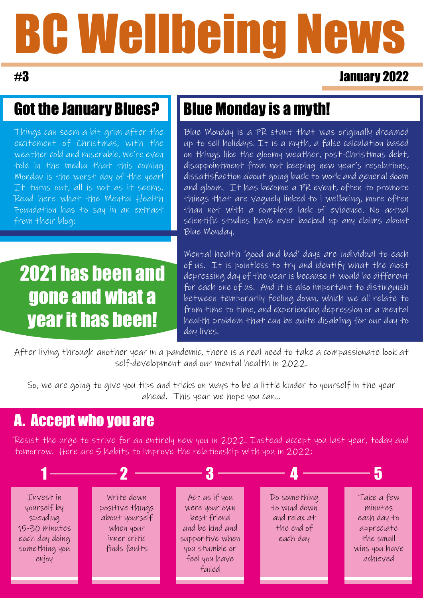# BC Wellbeing News

#### #3 January 2022

### Got the January Blues?

Things can seem a bit grim after the excitement of Christmas, with the weather cold and miserable. We're even told in the media that this coming Monday is the worst day of the year! It turns out, all is not as it seems. Read here what the Mental Health Foundation has to say in an extract from their blog:

# 2021 has been and gone and what a year it has been!

# Blue Monday is a myth!

Blue Monday is a PR stunt that was originally dreamed up to sell holidays. It is a myth, a false calculation based on things like the gloomy weather, post-Christmas debt, disappointment from not keeping new year's resolutions, dissatisfaction about going back to work and general doom and gloom. It has become a PR event, often to promote things that are vaguely linked to i wellbeing, more often than not with a complete lack of evidence. No actual scientific studies have ever backed up any claims about Blue Monday.

Mental health 'good and bad' days are individual to each of us. It is pointless to try and identify what the most depressing day of the year is because it would be different for each one of us. And it is also important to distinguish between temporarily feeling down, which we all relate to from time to time, and experiencing depression or a mental health problem that can be quite disabling for our day to day lives.

After living through another year in a pandemic, there is a real need to take a compassionate look at self-development and our mental health in 2022.

So, we are going to give you tips and tricks on ways to be a little kinder to yourself in the year ahead. This year we hope you can...

## A. Accept who you are

Resist the urge to strive for an entirely new you in 2022. Instead accept you last year, today and tomorrow. Here are 5 habits to improve the relationship with you in 2022: